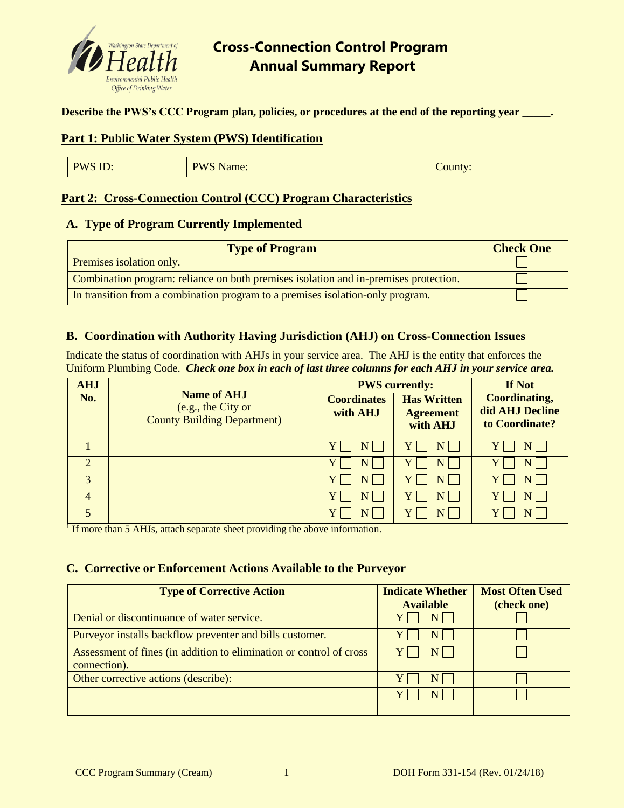

**Describe the PWS's CCC Program plan, policies, or procedures at the end of the reporting year \_\_\_\_\_.** 

#### **Part 1: Public Water System (PWS) Identification**

| PWS ID: | <b>PWS Name:</b> | $\mathcal{L}$ ounty: |
|---------|------------------|----------------------|
|---------|------------------|----------------------|

### **Part 2: Cross-Connection Control (CCC) Program Characteristics**

#### **A. Type of Program Currently Implemented**

| <b>Type of Program</b>                                                               | <b>Check One</b> |
|--------------------------------------------------------------------------------------|------------------|
| Premises isolation only.                                                             |                  |
| Combination program: reliance on both premises isolation and in-premises protection. |                  |
| In transition from a combination program to a premises isolation-only program.       |                  |

#### **B. Coordination with Authority Having Jurisdiction (AHJ) on Cross-Connection Issues**

Indicate the status of coordination with AHJs in your service area. The AHJ is the entity that enforces the Uniform Plumbing Code. *Check one box in each of last three columns for each AHJ in your service area.*

| <b>AHJ</b>            | <b>Name of AHJ</b><br>(e.g., the City or<br><b>County Building Department)</b> | <b>PWS</b> currently:          |                                                    | If Not                                                    |
|-----------------------|--------------------------------------------------------------------------------|--------------------------------|----------------------------------------------------|-----------------------------------------------------------|
| No.                   |                                                                                | <b>Coordinates</b><br>with AHJ | <b>Has Written</b><br><b>Agreement</b><br>with AHJ | <b>Coordinating,</b><br>did AHJ Decline<br>to Coordinate? |
|                       |                                                                                |                                |                                                    |                                                           |
| $\mathcal{D}_{\cdot}$ |                                                                                |                                |                                                    | N                                                         |
| $\mathcal{R}$         |                                                                                |                                |                                                    |                                                           |
| 4                     |                                                                                |                                |                                                    |                                                           |
|                       |                                                                                |                                |                                                    |                                                           |

<sup>1</sup> If more than 5 AHJs, attach separate sheet providing the above information.

#### **C. Corrective or Enforcement Actions Available to the Purveyor**

| <b>Type of Corrective Action</b>                                                    | <b>Indicate Whether</b><br><b>Available</b> | <b>Most Often Used</b><br>(check one) |
|-------------------------------------------------------------------------------------|---------------------------------------------|---------------------------------------|
| Denial or discontinuance of water service.                                          |                                             |                                       |
| Purveyor installs backflow preventer and bills customer.                            | NI                                          |                                       |
| Assessment of fines (in addition to elimination or control of cross<br>connection). | NI.                                         |                                       |
| Other corrective actions (describe):                                                |                                             |                                       |
|                                                                                     | NI                                          |                                       |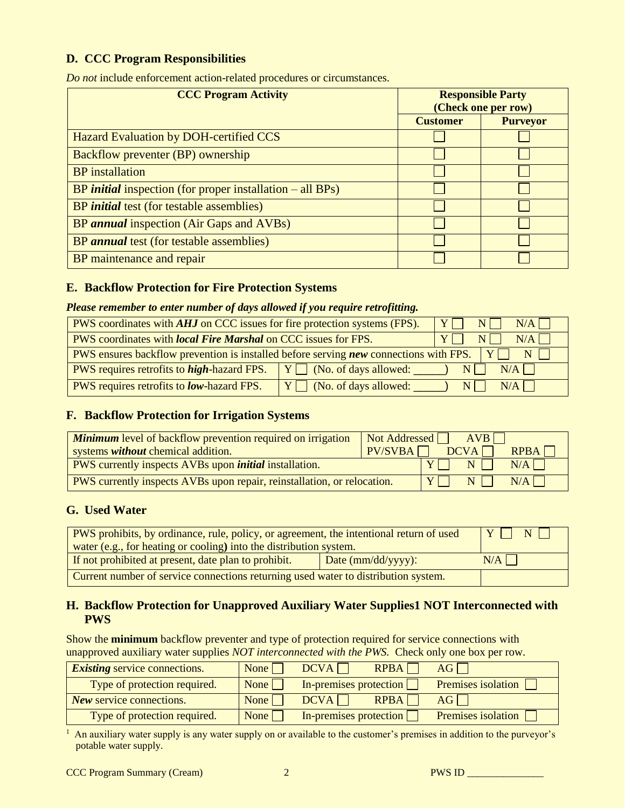## **D. CCC Program Responsibilities**

*Do not* include enforcement action-related procedures or circumstances.

| <b>CCC Program Activity</b>                                        |                 | <b>Responsible Party</b><br>(Check one per row) |  |
|--------------------------------------------------------------------|-----------------|-------------------------------------------------|--|
|                                                                    | <b>Customer</b> | <b>Purveyor</b>                                 |  |
| Hazard Evaluation by DOH-certified CCS                             |                 |                                                 |  |
| Backflow preventer (BP) ownership                                  |                 |                                                 |  |
| <b>BP</b> installation                                             |                 |                                                 |  |
| BP <i>initial</i> inspection (for proper installation $-$ all BPs) |                 |                                                 |  |
| BP <i>initial</i> test (for testable assemblies)                   |                 |                                                 |  |
| BP annual inspection (Air Gaps and AVBs)                           |                 |                                                 |  |
| BP annual test (for testable assemblies)                           |                 |                                                 |  |
| BP maintenance and repair                                          |                 |                                                 |  |

### **E. Backflow Protection for Fire Protection Systems**

### *Please remember to enter number of days allowed if you require retrofitting.*

| PWS coordinates with <i>AHJ</i> on CCC issues for fire protection systems (FPS).                                         |                                   | Y N | N/A   |
|--------------------------------------------------------------------------------------------------------------------------|-----------------------------------|-----|-------|
| $Y \cap N \cap$<br>PWS coordinates with <i>local Fire Marshal</i> on CCC issues for FPS.<br>N/A                          |                                   |     |       |
| <b>PWS</b> ensures backflow prevention is installed before serving <b>new</b> connections with FPS. $\mid Y \mid$<br>$N$ |                                   |     |       |
| <b>PWS</b> requires retrofits to <i>high</i> -hazard FPS. $Y \cap N$ (No. of days allowed:<br>$N/A$  <br>NI              |                                   |     |       |
| PWS requires retrofits to <b><i>low</i></b> -hazard FPS.                                                                 | $\boxed{Y}$ (No. of days allowed: | $N$ | $N/A$ |

## **F. Backflow Protection for Irrigation Systems**

| <b>Minimum</b> level of backflow prevention required on irrigation<br>systems <i>without</i> chemical addition. | $\boxed{\phantom{1} \text{Not Addressed}}$ $\boxed{\phantom{1} \text{AVB}}$<br>$PV/SVBA$ DCVA<br>$R$ PBA $\Box$ |
|-----------------------------------------------------------------------------------------------------------------|-----------------------------------------------------------------------------------------------------------------|
| PWS currently inspects AVBs upon <i>initial</i> installation.                                                   | N/A<br>YI NII                                                                                                   |
| <b>PWS</b> currently inspects AVBs upon repair, reinstallation, or relocation.                                  | N/A<br>NII<br>$\mathbf{Y}$                                                                                      |

#### **G. Used Water**

| <b>PWS</b> prohibits, by ordinance, rule, policy, or agreement, the intentional return of used           |  | YINI |
|----------------------------------------------------------------------------------------------------------|--|------|
| water (e.g., for heating or cooling) into the distribution system.                                       |  |      |
| If not prohibited at present, date plan to prohibit.<br>N/A<br>Date $\frac{\text{mm}}{\text{dd}}$ yyyy): |  |      |
| Current number of service connections returning used water to distribution system.                       |  |      |

### **H. Backflow Protection for Unapproved Auxiliary Water Supplies1 NOT Interconnected with PWS**

Show the **minimum** backflow preventer and type of protection required for service connections with unapproved auxiliary water supplies *NOT interconnected with the PWS.* Check only one box per row.

| <b>Existing service connections.</b> | None                     | <b>RPBA</b><br>DCVA    | AGL                       |
|--------------------------------------|--------------------------|------------------------|---------------------------|
| Type of protection required.         | None $\Box$              | In-premises protection | Premises isolation [      |
| <b>New service connections.</b>      | None $\Box$              | RPBA<br>DCVA           | AGL                       |
| Type of protection required.         | $\overline{\text{None}}$ | In-premises protection | <b>Premises isolation</b> |

<sup>1</sup> An auxiliary water supply is any water supply on or available to the customer's premises in addition to the purveyor's potable water supply.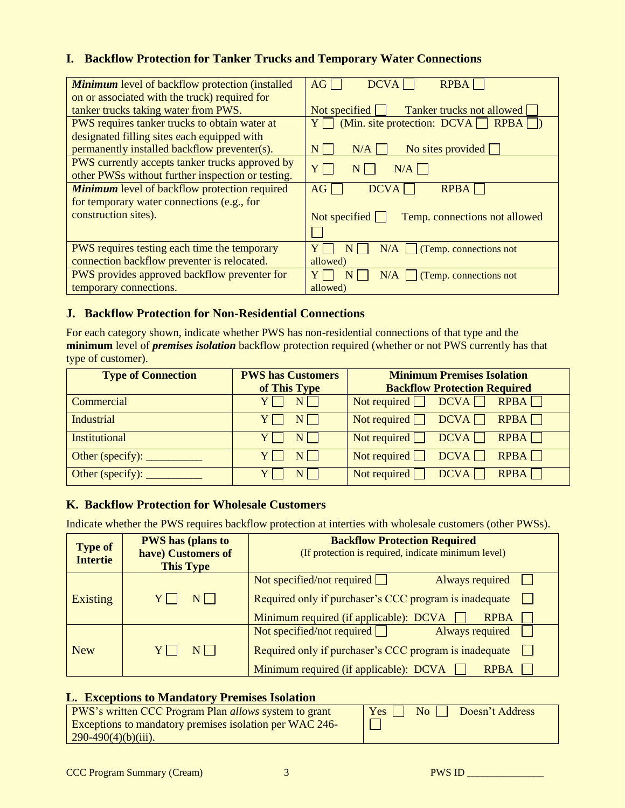## **I. Backflow Protection for Tanker Trucks and Temporary Water Connections**

| <b>Minimum</b> level of backflow protection (installed | <b>DCVA</b><br><b>RPBA</b><br>AG                      |
|--------------------------------------------------------|-------------------------------------------------------|
| on or associated with the truck) required for          |                                                       |
| tanker trucks taking water from PWS.                   | Tanker trucks not allowed<br>Not specified $\Box$     |
| PWS requires tanker trucks to obtain water at          | $Y \cap$ (Min. site protection: DCVA $\cap$ RPBA      |
| designated filling sites each equipped with            |                                                       |
| permanently installed backflow preventer(s).           | No sites provided $\Box$<br>N/A<br>N                  |
| PWS currently accepts tanker trucks approved by        | $N/A$  <br>YI                                         |
| other PWSs without further inspection or testing.      | N                                                     |
| <b>Minimum</b> level of backflow protection required   | <b>DCVA</b><br><b>RPBA</b><br>AG                      |
| for temporary water connections (e.g., for             |                                                       |
| construction sites).                                   | Not specified $\Box$<br>Temp. connections not allowed |
|                                                        |                                                       |
|                                                        |                                                       |
| PWS requires testing each time the temporary           | N/A<br>(Temp. connections not                         |
| connection backflow preventer is relocated.            | allowed)                                              |
| PWS provides approved backflow preventer for           | N/A<br>(Temp. connections not                         |
| temporary connections.                                 | allowed)                                              |

#### **J. Backflow Protection for Non-Residential Connections**

For each category shown, indicate whether PWS has non-residential connections of that type and the **minimum** level of *premises isolation* backflow protection required (whether or not PWS currently has that type of customer).

| <b>PWS has Customers</b> | <b>Minimum Premises Isolation</b><br><b>Backflow Protection Required</b> |
|--------------------------|--------------------------------------------------------------------------|
|                          | Not required $\Box$ DCVA $\Box$ RPBA $\Box$                              |
| $N$    <br>YII           | Not required $\Box$ DCVA $\Box$<br>$R$ PBA $\Box$                        |
| NI.                      | Not required $\Box$ DCVA $\Box$<br>$R$ PBA $\Box$                        |
|                          | DCVA<br>Not required $\Box$<br>$R$ PBA $\Box$                            |
|                          | Not required $\Box$<br>DCVA<br>$R$ PBA $\Box$                            |
|                          | of This Type<br>$N$                                                      |

## **K. Backflow Protection for Wholesale Customers**

Indicate whether the PWS requires backflow protection at interties with wholesale customers (other PWSs).

| <b>Type of</b><br><b>Intertie</b> | <b>PWS</b> has (plans to<br>have) Customers of<br><b>This Type</b> | <b>Backflow Protection Required</b><br>(If protection is required, indicate minimum level)                                                                              |
|-----------------------------------|--------------------------------------------------------------------|-------------------------------------------------------------------------------------------------------------------------------------------------------------------------|
| <b>Existing</b>                   | NI I                                                               | Not specified/not required $\Box$<br>Always required<br>Required only if purchaser's CCC program is inadequate                                                          |
|                                   |                                                                    | Minimum required (if applicable): DCVA<br><b>RPBA</b>                                                                                                                   |
| <b>New</b>                        |                                                                    | Not specified/not required $\Box$<br>Always required<br>Required only if purchaser's CCC program is inadequate<br>Minimum required (if applicable): DCVA<br><b>RPBA</b> |

## **L. Exceptions to Mandatory Premises Isolation**

| <b>PWS's written CCC Program Plan <i>allows</i> system to grant</b><br>Exceptions to mandatory premises isolation per WAC 246-<br>$290-490(4)(b)(iii)$ . | $\sqrt{N_0 \sqrt{N_0}}$ Doesn't Address<br>$Yes$ |
|----------------------------------------------------------------------------------------------------------------------------------------------------------|--------------------------------------------------|
|----------------------------------------------------------------------------------------------------------------------------------------------------------|--------------------------------------------------|